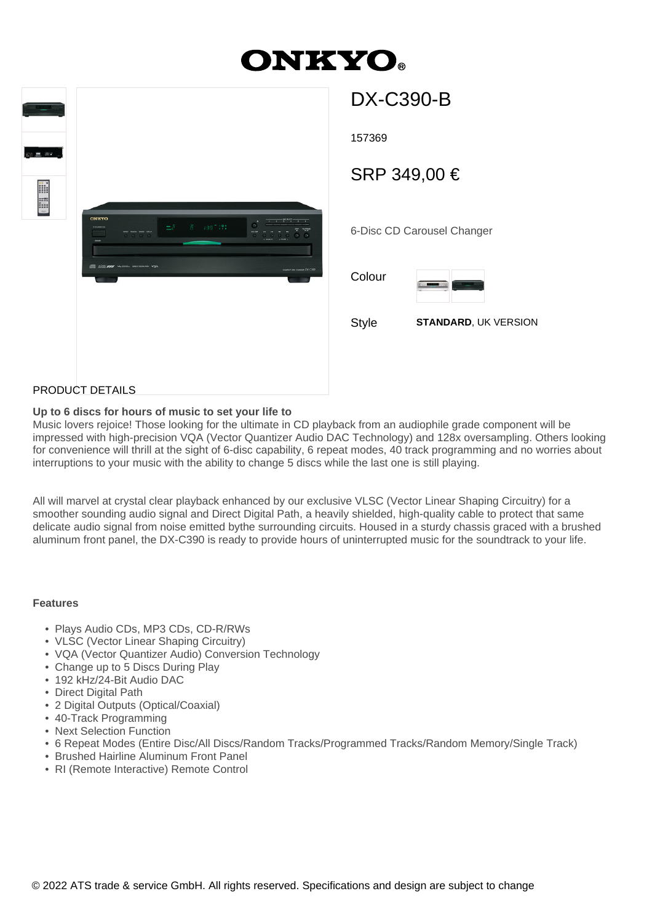# **ONKYO.**



# DX-C390-B

157369

SRP 349,00 €

6-Disc CD Carousel Changer

Colour



Style **STANDARD**, UK VERSION

## PRODUCT DETAILS

#### **Up to 6 discs for hours of music to set your life to**

Music lovers rejoice! Those looking for the ultimate in CD playback from an audiophile grade component will be impressed with high-precision VQA (Vector Quantizer Audio DAC Technology) and 128x oversampling. Others looking for convenience will thrill at the sight of 6-disc capability, 6 repeat modes, 40 track programming and no worries about interruptions to your music with the ability to change 5 discs while the last one is still playing.

All will marvel at crystal clear playback enhanced by our exclusive VLSC (Vector Linear Shaping Circuitry) for a smoother sounding audio signal and Direct Digital Path, a heavily shielded, high-quality cable to protect that same delicate audio signal from noise emitted bythe surrounding circuits. Housed in a sturdy chassis graced with a brushed aluminum front panel, the DX-C390 is ready to provide hours of uninterrupted music for the soundtrack to your life.

#### **Features**

- Plays Audio CDs, MP3 CDs, CD-R/RWs
- VLSC (Vector Linear Shaping Circuitry)
- VQA (Vector Quantizer Audio) Conversion Technology
- Change up to 5 Discs During Play
- 192 kHz/24-Bit Audio DAC
- Direct Digital Path
- 2 Digital Outputs (Optical/Coaxial)
- 40-Track Programming
- Next Selection Function
- 6 Repeat Modes (Entire Disc/All Discs/Random Tracks/Programmed Tracks/Random Memory/Single Track)
- Brushed Hairline Aluminum Front Panel
- RI (Remote Interactive) Remote Control